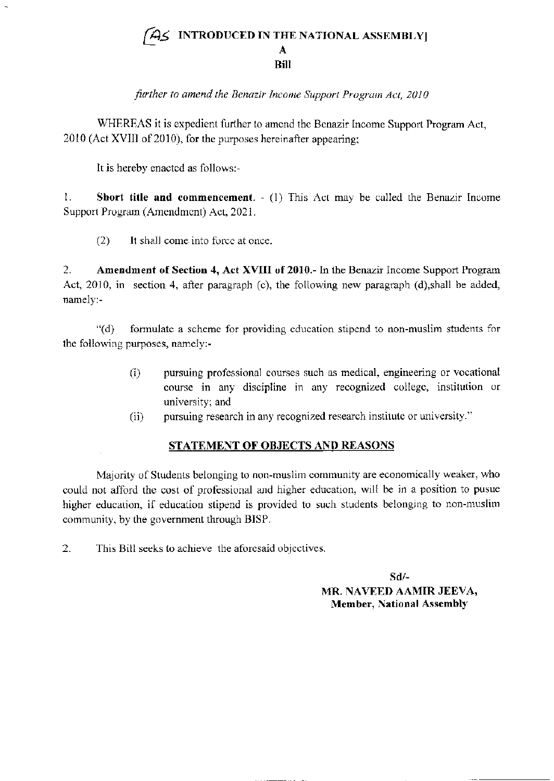## INTRODUCED IN THE NATIONAL ASSEMBLY] A Bill [45

further to amend the Benazir Income Support Program Act, 2010

WHERFAS it is expedient further to amend the Benazir Income Support Program Act, 2010 (Act XVIII of 2010), for the purposes hereinafter appearing;

It is hereby enactcd as follows:-

1. Short title and commencement.  $- (1)$  This Act may be called the Benazir Income Support Program (Amendment) Act, 2021.

 $(2)$  It shall come into force at once.

2. Amendment of Section 4, Act XVIII of 2010.- In the Benazir Income Support Program Act,  $2010$ , in section 4, after paragraph (c), the following new paragraph (d),shall be added, namely:-

'1d) forrnulate a schemc for providing cducation stipend to non-muslim students for the following purposes, namely:-

- (i) pursuing professional courses such as medical, engineering or vocational course in any discipline in any recognized college, institution or university: and
- (ii) pursuing research in any recognized research institute or university."

## STATEMENT OF OBJECTS AND REASONS

Majority of Students belonging to non-muslim community are economically weaker, who could not afford the cost of professional and higher education, will be in a position to pusue higher education, if education stipend is provided to such students belonging to non-muslim community, by the government through BISP.

2. This Bill seeks to achieve the aforesaid objectives.

sd/- MR. NAVEED AAMIR JEEVA, Member, National Assembly